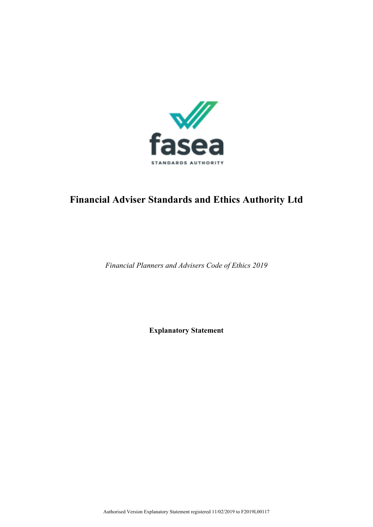

# **Financial Adviser Standards and Ethics Authority Ltd**

*Financial Planners and Advisers Code of Ethics 2019*

**Explanatory Statement**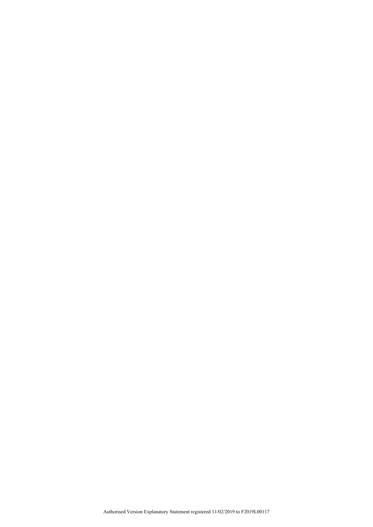Authorised Version Explanatory Statement registered 11/02/2019 to F2019L00117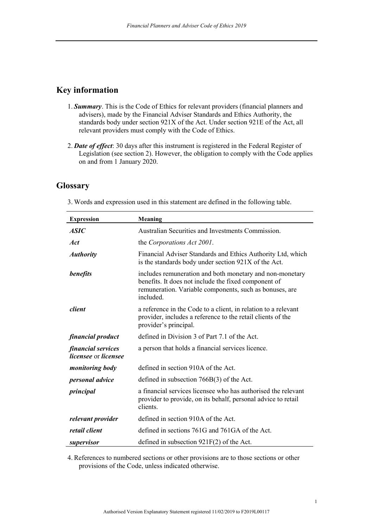# **Key information**

- 1. *Summary*. This is the Code of Ethics for relevant providers (financial planners and advisers), made by the Financial Adviser Standards and Ethics Authority, the standards body under section 921X of the Act. Under section 921E of the Act, all relevant providers must comply with the Code of Ethics.
- 2. *Date of effect*: 30 days after this instrument is registered in the Federal Register of Legislation (see section 2). However, the obligation to comply with the Code applies on and from 1 January 2020.

# <span id="page-2-0"></span>**Glossary**

3. Words and expression used in this statement are defined in the following table.

| <b>Expression</b>                                               | <b>Meaning</b>                                                                                                                                                                           |
|-----------------------------------------------------------------|------------------------------------------------------------------------------------------------------------------------------------------------------------------------------------------|
| <b>ASIC</b>                                                     | Australian Securities and Investments Commission.                                                                                                                                        |
| <b>Act</b>                                                      | the Corporations Act 2001.                                                                                                                                                               |
| <b>Authority</b>                                                | Financial Adviser Standards and Ethics Authority Ltd, which<br>is the standards body under section 921X of the Act.                                                                      |
| benefits                                                        | includes remuneration and both monetary and non-monetary<br>benefits. It does not include the fixed component of<br>remuneration. Variable components, such as bonuses, are<br>included. |
| client                                                          | a reference in the Code to a client, in relation to a relevant<br>provider, includes a reference to the retail clients of the<br>provider's principal.                                   |
| financial product                                               | defined in Division 3 of Part 7.1 of the Act.                                                                                                                                            |
| <i>financial services</i><br><i>licensee</i> or <i>licensee</i> | a person that holds a financial services licence.                                                                                                                                        |
| monitoring body                                                 | defined in section 910A of the Act.                                                                                                                                                      |
| <i>personal advice</i>                                          | defined in subsection $766B(3)$ of the Act.                                                                                                                                              |
| principal                                                       | a financial services licensee who has authorised the relevant<br>provider to provide, on its behalf, personal advice to retail<br>clients.                                               |
| relevant provider                                               | defined in section 910A of the Act.                                                                                                                                                      |
| retail client                                                   | defined in sections $761G$ and $761G$ A of the Act.                                                                                                                                      |
| supervisor                                                      | defined in subsection $921F(2)$ of the Act.                                                                                                                                              |

4. References to numbered sections or other provisions are to those sections or other provisions of the Code, unless indicated otherwise.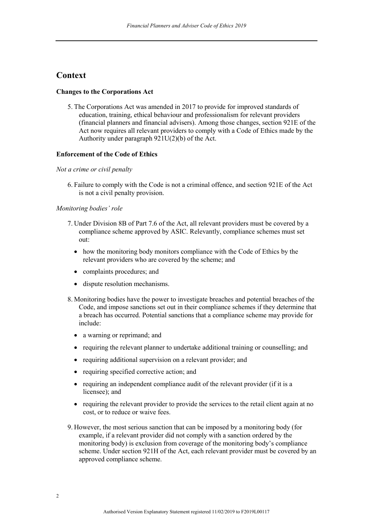# **Context**

#### **Changes to the Corporations Act**

5. The Corporations Act was amended in 2017 to provide for improved standards of education, training, ethical behaviour and professionalism for relevant providers (financial planners and financial advisers). Among those changes, section 921E of the Act now requires all relevant providers to comply with a Code of Ethics made by the Authority under paragraph 921U(2)(b) of the Act.

### **Enforcement of the Code of Ethics**

*Not a crime or civil penalty*

6. Failure to comply with the Code is not a criminal offence, and section 921E of the Act is not a civil penalty provision.

## *Monitoring bodies' role*

- 7. Under Division 8B of Part 7.6 of the Act, all relevant providers must be covered by a compliance scheme approved by ASIC. Relevantly, compliance schemes must set out:
	- how the monitoring body monitors compliance with the Code of Ethics by the relevant providers who are covered by the scheme; and
	- complaints procedures; and
	- dispute resolution mechanisms.
- 8. Monitoring bodies have the power to investigate breaches and potential breaches of the Code, and impose sanctions set out in their compliance schemes if they determine that a breach has occurred. Potential sanctions that a compliance scheme may provide for include:
	- a warning or reprimand; and
	- requiring the relevant planner to undertake additional training or counselling; and
	- requiring additional supervision on a relevant provider; and
	- requiring specified corrective action; and
	- requiring an independent compliance audit of the relevant provider (if it is a licensee); and
	- requiring the relevant provider to provide the services to the retail client again at no cost, or to reduce or waive fees.
- 9. However, the most serious sanction that can be imposed by a monitoring body (for example, if a relevant provider did not comply with a sanction ordered by the monitoring body) is exclusion from coverage of the monitoring body's compliance scheme. Under section 921H of the Act, each relevant provider must be covered by an approved compliance scheme.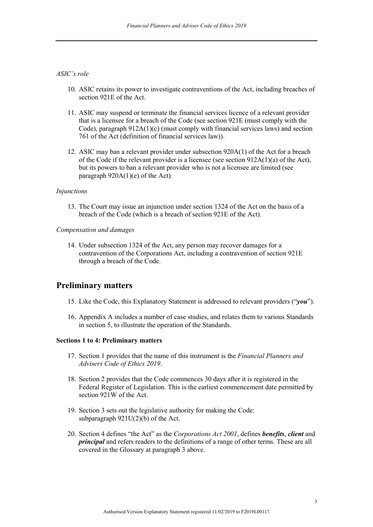## *ASIC's role*

- 10. ASIC retains its power to investigate contraventions of the Act, including breaches of section 921E of the Act.
- 11. ASIC may suspend or terminate the financial services licence of a relevant provider that is a licensee for a breach of the Code (see section 921E (must comply with the Code), paragraph  $912A(1)(c)$  (must comply with financial services laws) and section 761 of the Act (definition of financial services law)).
- 12. ASIC may ban a relevant provider under subsection 920A(1) of the Act for a breach of the Code if the relevant provider is a licensee (see section  $912A(1)(a)$  of the Act), but its powers to ban a relevant provider who is not a licensee are limited (see paragraph  $920A(1)(e)$  of the Act).

### *Injunctions*

13. The Court may issue an injunction under section 1324 of the Act on the basis of a breach of the Code (which is a breach of section 921E of the Act).

#### *Compensation and damages*

14. Under subsection 1324 of the Act, any person may recover damages for a contravention of the Corporations Act, including a contravention of section 921E through a breach of the Code.

# **Preliminary matters**

- 15. Like the Code, this Explanatory Statement is addressed to relevant providers ("*you*").
- 16. Appendix A includes a number of case studies, and relates them to various Standards in section 5, to illustrate the operation of the Standards.

#### **Sections 1 to 4: Preliminary matters**

- 17. Section 1 provides that the name of this instrument is the *Financial Planners and Advisers Code of Ethics 2019*.
- 18. Section 2 provides that the Code commences 30 days after it is registered in the Federal Register of Legislation. This is the earliest commencement date permitted by section 921W of the Act.
- 19. Section 3 sets out the legislative authority for making the Code: subparagraph 921U(2)(b) of the Act.
- 20. Section 4 defines "the Act" as the *Corporations Act 2001*, defines *benefits*, *client* and *principal* and refers readers to the definitions of a range of other terms. These are all covered in the Glossary at paragraph [3](#page-2-0) above.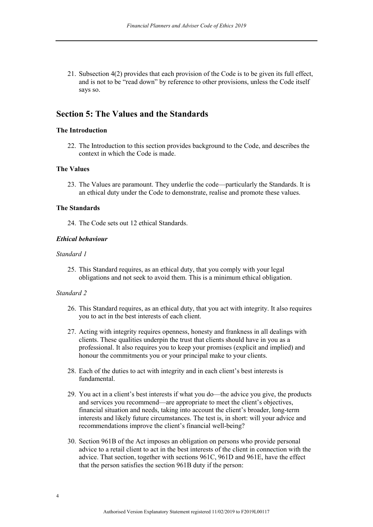21. Subsection 4(2) provides that each provision of the Code is to be given its full effect, and is not to be "read down" by reference to other provisions, unless the Code itself says so.

# **Section 5: The Values and the Standards**

# **The Introduction**

22. The Introduction to this section provides background to the Code, and describes the context in which the Code is made.

# **The Values**

23. The Values are paramount. They underlie the code—particularly the Standards. It is an ethical duty under the Code to demonstrate, realise and promote these values.

#### **The Standards**

24. The Code sets out 12 ethical Standards.

#### *Ethical behaviour*

### *Standard 1*

25. This Standard requires, as an ethical duty, that you comply with your legal obligations and not seek to avoid them. This is a minimum ethical obligation.

#### *Standard 2*

- 26. This Standard requires, as an ethical duty, that you act with integrity. It also requires you to act in the best interests of each client.
- 27. Acting with integrity requires openness, honesty and frankness in all dealings with clients. These qualities underpin the trust that clients should have in you as a professional. It also requires you to keep your promises (explicit and implied) and honour the commitments you or your principal make to your clients.
- 28. Each of the duties to act with integrity and in each client's best interests is fundamental.
- <span id="page-5-0"></span>29. You act in a client's best interests if what you do—the advice you give, the products and services you recommend—are appropriate to meet the client's objectives, financial situation and needs, taking into account the client's broader, long-term interests and likely future circumstances. The test is, in short: will your advice and recommendations improve the client's financial well-being?
- 30. Section 961B of the Act imposes an obligation on persons who provide personal advice to a retail client to act in the best interests of the client in connection with the advice. That section, together with sections 961C, 961D and 961E, have the effect that the person satisfies the section 961B duty if the person: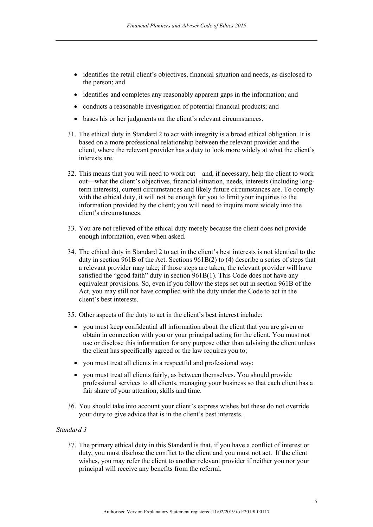- identifies the retail client's objectives, financial situation and needs, as disclosed to the person; and
- identifies and completes any reasonably apparent gaps in the information; and
- conducts a reasonable investigation of potential financial products; and
- bases his or her judgments on the client's relevant circumstances.
- 31. The ethical duty in Standard 2 to act with integrity is a broad ethical obligation. It is based on a more professional relationship between the relevant provider and the client, where the relevant provider has a duty to look more widely at what the client's interests are.
- 32. This means that you will need to work out—and, if necessary, help the client to work out—what the client's objectives, financial situation, needs, interests (including longterm interests), current circumstances and likely future circumstances are. To comply with the ethical duty, it will not be enough for you to limit your inquiries to the information provided by the client; you will need to inquire more widely into the client's circumstances.
- 33. You are not relieved of the ethical duty merely because the client does not provide enough information, even when asked.
- 34. The ethical duty in Standard 2 to act in the client's best interests is not identical to the duty in section 961B of the Act. Sections 961B(2) to (4) describe a series of steps that a relevant provider may take; if those steps are taken, the relevant provider will have satisfied the "good faith" duty in section 961B(1). This Code does not have any equivalent provisions. So, even if you follow the steps set out in section 961B of the Act, you may still not have complied with the duty under the Code to act in the client's best interests.
- 35. Other aspects of the duty to act in the client's best interest include:
	- vou must keep confidential all information about the client that you are given or obtain in connection with you or your principal acting for the client. You must not use or disclose this information for any purpose other than advising the client unless the client has specifically agreed or the law requires you to;
	- you must treat all clients in a respectful and professional way;
	- you must treat all clients fairly, as between themselves. You should provide professional services to all clients, managing your business so that each client has a fair share of your attention, skills and time.
- 36. You should take into account your client's express wishes but these do not override your duty to give advice that is in the client's best interests.

## *Standard 3*

37. The primary ethical duty in this Standard is that, if you have a conflict of interest or duty, you must disclose the conflict to the client and you must not act. If the client wishes, you may refer the client to another relevant provider if neither you nor your principal will receive any benefits from the referral.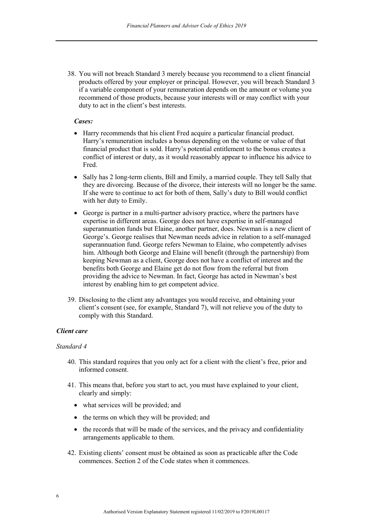38. You will not breach Standard 3 merely because you recommend to a client financial products offered by your employer or principal. However, you will breach Standard 3 if a variable component of your remuneration depends on the amount or volume you recommend of those products, because your interests will or may conflict with your duty to act in the client's best interests.

## *Cases:*

- Harry recommends that his client Fred acquire a particular financial product. Harry's remuneration includes a bonus depending on the volume or value of that financial product that is sold. Harry's potential entitlement to the bonus creates a conflict of interest or duty, as it would reasonably appear to influence his advice to Fred.
- Sally has 2 long-term clients, Bill and Emily, a married couple. They tell Sally that they are divorcing. Because of the divorce, their interests will no longer be the same. If she were to continue to act for both of them, Sally's duty to Bill would conflict with her duty to Emily.
- George is partner in a multi-partner advisory practice, where the partners have expertise in different areas. George does not have expertise in self-managed superannuation funds but Elaine, another partner, does. Newman is a new client of George's. George realises that Newman needs advice in relation to a self-managed superannuation fund. George refers Newman to Elaine, who competently advises him. Although both George and Elaine will benefit (through the partnership) from keeping Newman as a client, George does not have a conflict of interest and the benefits both George and Elaine get do not flow from the referral but from providing the advice to Newman. In fact, George has acted in Newman's best interest by enabling him to get competent advice.
- 39. Disclosing to the client any advantages you would receive, and obtaining your client's consent (see, for example, Standard 7), will not relieve you of the duty to comply with this Standard.

#### *Client care*

#### *Standard 4*

- 40. This standard requires that you only act for a client with the client's free, prior and informed consent.
- 41. This means that, before you start to act, you must have explained to your client, clearly and simply:
	- what services will be provided; and
	- the terms on which they will be provided; and
	- $\bullet$  the records that will be made of the services, and the privacy and confidentiality arrangements applicable to them.
- 42. Existing clients' consent must be obtained as soon as practicable after the Code commences. Section 2 of the Code states when it commences.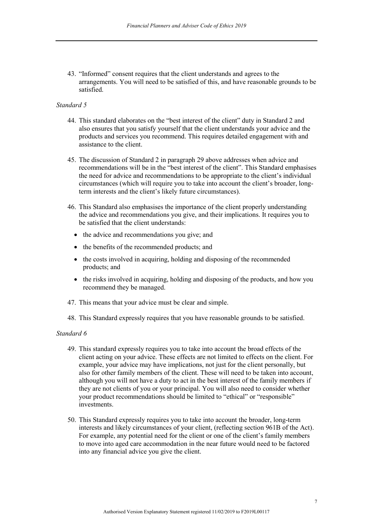43. "Informed" consent requires that the client understands and agrees to the arrangements. You will need to be satisfied of this, and have reasonable grounds to be satisfied.

### *Standard 5*

- 44. This standard elaborates on the "best interest of the client" duty in Standard 2 and also ensures that you satisfy yourself that the client understands your advice and the products and services you recommend. This requires detailed engagement with and assistance to the client.
- 45. The discussion of Standard 2 in paragraph [29](#page-5-0) above addresses when advice and recommendations will be in the "best interest of the client". This Standard emphasises the need for advice and recommendations to be appropriate to the client's individual circumstances (which will require you to take into account the client's broader, longterm interests and the client's likely future circumstances).
- 46. This Standard also emphasises the importance of the client properly understanding the advice and recommendations you give, and their implications. It requires you to be satisfied that the client understands:
	- the advice and recommendations you give; and
	- the benefits of the recommended products; and
	- the costs involved in acquiring, holding and disposing of the recommended products; and
	- the risks involved in acquiring, holding and disposing of the products, and how you recommend they be managed.
- 47. This means that your advice must be clear and simple.
- 48. This Standard expressly requires that you have reasonable grounds to be satisfied.

#### *Standard 6*

- 49. This standard expressly requires you to take into account the broad effects of the client acting on your advice. These effects are not limited to effects on the client. For example, your advice may have implications, not just for the client personally, but also for other family members of the client. These will need to be taken into account, although you will not have a duty to act in the best interest of the family members if they are not clients of you or your principal. You will also need to consider whether your product recommendations should be limited to "ethical" or "responsible" investments.
- 50. This Standard expressly requires you to take into account the broader, long-term interests and likely circumstances of your client, (reflecting section 961B of the Act). For example, any potential need for the client or one of the client's family members to move into aged care accommodation in the near future would need to be factored into any financial advice you give the client.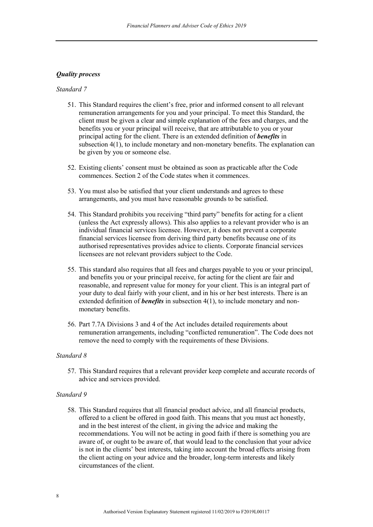#### *Quality process*

#### *Standard 7*

- 51. This Standard requires the client's free, prior and informed consent to all relevant remuneration arrangements for you and your principal. To meet this Standard, the client must be given a clear and simple explanation of the fees and charges, and the benefits you or your principal will receive, that are attributable to you or your principal acting for the client. There is an extended definition of *benefits* in subsection 4(1), to include monetary and non-monetary benefits. The explanation can be given by you or someone else.
- 52. Existing clients' consent must be obtained as soon as practicable after the Code commences. Section 2 of the Code states when it commences.
- 53. You must also be satisfied that your client understands and agrees to these arrangements, and you must have reasonable grounds to be satisfied.
- 54. This Standard prohibits you receiving "third party" benefits for acting for a client (unless the Act expressly allows). This also applies to a relevant provider who is an individual financial services licensee. However, it does not prevent a corporate financial services licensee from deriving third party benefits because one of its authorised representatives provides advice to clients. Corporate financial services licensees are not relevant providers subject to the Code.
- 55. This standard also requires that all fees and charges payable to you or your principal, and benefits you or your principal receive, for acting for the client are fair and reasonable, and represent value for money for your client. This is an integral part of your duty to deal fairly with your client, and in his or her best interests. There is an extended definition of *benefits* in subsection 4(1), to include monetary and nonmonetary benefits.
- 56. Part 7.7A Divisions 3 and 4 of the Act includes detailed requirements about remuneration arrangements, including "conflicted remuneration". The Code does not remove the need to comply with the requirements of these Divisions.

### *Standard 8*

57. This Standard requires that a relevant provider keep complete and accurate records of advice and services provided.

#### *Standard 9*

58. This Standard requires that all financial product advice, and all financial products, offered to a client be offered in good faith. This means that you must act honestly, and in the best interest of the client, in giving the advice and making the recommendations. You will not be acting in good faith if there is something you are aware of, or ought to be aware of, that would lead to the conclusion that your advice is not in the clients' best interests, taking into account the broad effects arising from the client acting on your advice and the broader, long-term interests and likely circumstances of the client.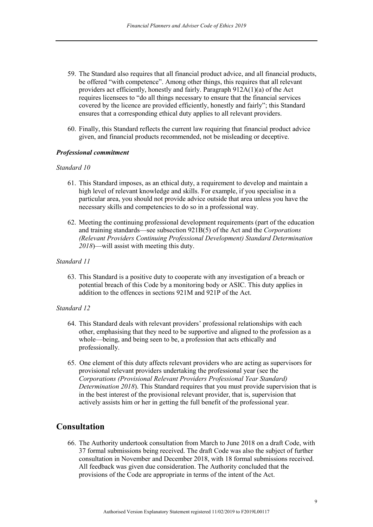- 59. The Standard also requires that all financial product advice, and all financial products, be offered "with competence". Among other things, this requires that all relevant providers act efficiently, honestly and fairly. Paragraph 912A(1)(a) of the Act requires licensees to "do all things necessary to ensure that the financial services covered by the licence are provided efficiently, honestly and fairly"; this Standard ensures that a corresponding ethical duty applies to all relevant providers.
- 60. Finally, this Standard reflects the current law requiring that financial product advice given, and financial products recommended, not be misleading or deceptive.

### *Professional commitment*

#### *Standard 10*

- 61. This Standard imposes, as an ethical duty, a requirement to develop and maintain a high level of relevant knowledge and skills. For example, if you specialise in a particular area, you should not provide advice outside that area unless you have the necessary skills and competencies to do so in a professional way.
- 62. Meeting the continuing professional development requirements (part of the education and training standards—see subsection 921B(5) of the Act and the *Corporations (Relevant Providers Continuing Professional Development) Standard Determination 2018*)—will assist with meeting this duty.

### *Standard 11*

63. This Standard is a positive duty to cooperate with any investigation of a breach or potential breach of this Code by a monitoring body or ASIC. This duty applies in addition to the offences in sections 921M and 921P of the Act.

### *Standard 12*

- 64. This Standard deals with relevant providers' professional relationships with each other, emphasising that they need to be supportive and aligned to the profession as a whole—being, and being seen to be, a profession that acts ethically and professionally.
- 65. One element of this duty affects relevant providers who are acting as supervisors for provisional relevant providers undertaking the professional year (see the *Corporations (Provisional Relevant Providers Professional Year Standard) Determination 2018*). This Standard requires that you must provide supervision that is in the best interest of the provisional relevant provider, that is, supervision that actively assists him or her in getting the full benefit of the professional year.

# **Consultation**

66. The Authority undertook consultation from March to June 2018 on a draft Code, with 37 formal submissions being received. The draft Code was also the subject of further consultation in November and December 2018, with 18 formal submissions received. All feedback was given due consideration. The Authority concluded that the provisions of the Code are appropriate in terms of the intent of the Act.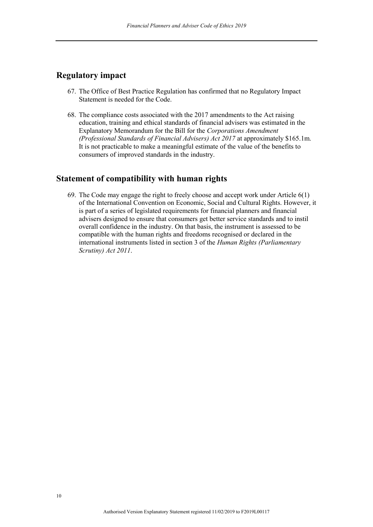# **Regulatory impact**

- 67. The Office of Best Practice Regulation has confirmed that no Regulatory Impact Statement is needed for the Code.
- 68. The compliance costs associated with the 2017 amendments to the Act raising education, training and ethical standards of financial advisers was estimated in the Explanatory Memorandum for the Bill for the *Corporations Amendment (Professional Standards of Financial Advisers) Act 2017* at approximately \$165.1m. It is not practicable to make a meaningful estimate of the value of the benefits to consumers of improved standards in the industry.

# **Statement of compatibility with human rights**

69. The Code may engage the right to freely choose and accept work under Article 6(1) of the International Convention on Economic, Social and Cultural Rights. However, it is part of a series of legislated requirements for financial planners and financial advisers designed to ensure that consumers get better service standards and to instil overall confidence in the industry. On that basis, the instrument is assessed to be compatible with the human rights and freedoms recognised or declared in the international instruments listed in section 3 of the *Human Rights (Parliamentary Scrutiny) Act 2011*.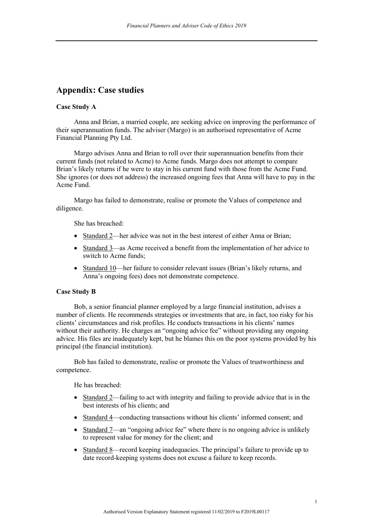# **Appendix: Case studies**

# **Case Study A**

Anna and Brian, a married couple, are seeking advice on improving the performance of their superannuation funds. The adviser (Margo) is an authorised representative of Acme Financial Planning Pty Ltd.

Margo advises Anna and Brian to roll over their superannuation benefits from their current funds (not related to Acme) to Acme funds. Margo does not attempt to compare Brian's likely returns if he were to stay in his current fund with those from the Acme Fund. She ignores (or does not address) the increased ongoing fees that Anna will have to pay in the Acme Fund.

Margo has failed to demonstrate, realise or promote the Values of competence and diligence.

She has breached:

- Standard 2—her advice was not in the best interest of either Anna or Brian;
- Standard 3—as Acme received a benefit from the implementation of her advice to switch to Acme funds;
- Standard 10—her failure to consider relevant issues (Brian's likely returns, and Anna's ongoing fees) does not demonstrate competence.

#### **Case Study B**

Bob, a senior financial planner employed by a large financial institution, advises a number of clients. He recommends strategies or investments that are, in fact, too risky for his clients' circumstances and risk profiles. He conducts transactions in his clients' names without their authority. He charges an "ongoing advice fee" without providing any ongoing advice. His files are inadequately kept, but he blames this on the poor systems provided by his principal (the financial institution).

Bob has failed to demonstrate, realise or promote the Values of trustworthiness and competence.

He has breached:

- Standard 2—failing to act with integrity and failing to provide advice that is in the best interests of his clients; and
- Standard 4—conducting transactions without his clients' informed consent; and
- Standard 7—an "ongoing advice fee" where there is no ongoing advice is unlikely to represent value for money for the client; and
- Standard 8—record keeping inadequacies. The principal's failure to provide up to date record-keeping systems does not excuse a failure to keep records.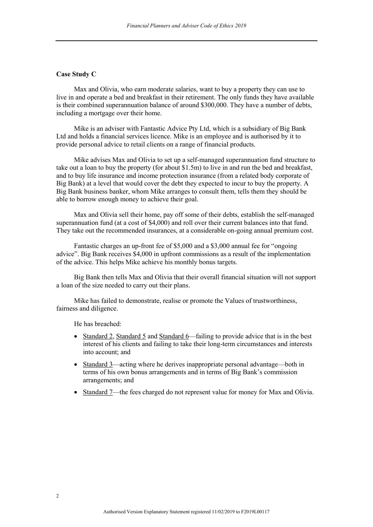# **Case Study C**

Max and Olivia, who earn moderate salaries, want to buy a property they can use to live in and operate a bed and breakfast in their retirement. The only funds they have available is their combined superannuation balance of around \$300,000. They have a number of debts, including a mortgage over their home.

Mike is an adviser with Fantastic Advice Pty Ltd, which is a subsidiary of Big Bank Ltd and holds a financial services licence. Mike is an employee and is authorised by it to provide personal advice to retail clients on a range of financial products.

Mike advises Max and Olivia to set up a self-managed superannuation fund structure to take out a loan to buy the property (for about \$1.5m) to live in and run the bed and breakfast, and to buy life insurance and income protection insurance (from a related body corporate of Big Bank) at a level that would cover the debt they expected to incur to buy the property. A Big Bank business banker, whom Mike arranges to consult them, tells them they should be able to borrow enough money to achieve their goal.

Max and Olivia sell their home, pay off some of their debts, establish the self-managed superannuation fund (at a cost of \$4,000) and roll over their current balances into that fund. They take out the recommended insurances, at a considerable on-going annual premium cost.

Fantastic charges an up-front fee of \$5,000 and a \$3,000 annual fee for "ongoing advice". Big Bank receives \$4,000 in upfront commissions as a result of the implementation of the advice. This helps Mike achieve his monthly bonus targets.

Big Bank then tells Max and Olivia that their overall financial situation will not support a loan of the size needed to carry out their plans.

Mike has failed to demonstrate, realise or promote the Values of trustworthiness, fairness and diligence.

He has breached:

- Standard 2, Standard 5 and Standard 6—failing to provide advice that is in the best interest of his clients and failing to take their long-term circumstances and interests into account; and
- Standard 3—acting where he derives inappropriate personal advantage—both in terms of his own bonus arrangements and in terms of Big Bank's commission arrangements; and
- Standard 7—the fees charged do not represent value for money for Max and Olivia.